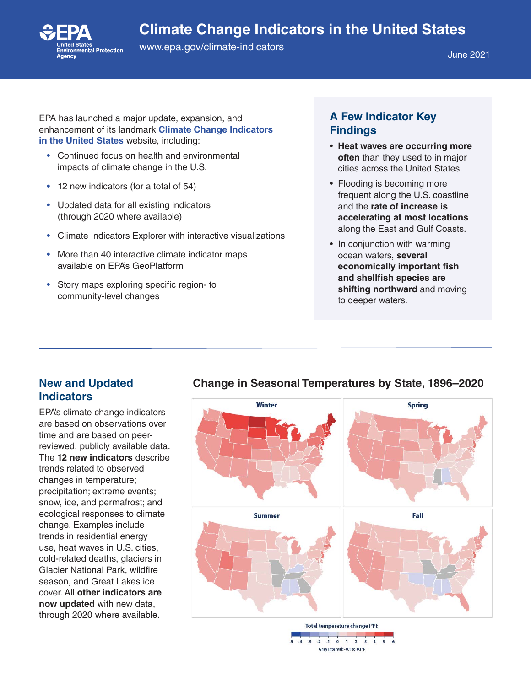# **Climate Change Indicators in the United States**

**Contract**<br>ronmental Protection

[www.epa.gov/climate-indicators](http://www.epa.gov/climate-indicators)

June 2021

EPA has launched a major update, expansion, and enhancement of its landmark **[Climate Change Indicators](https://www.epa.gov/climate-indicators) [in the United States](https://www.epa.gov/climate-indicators)** website, including:

- Continued focus on health and environmental impacts of climate change in the U.S.
- 12 new indicators (for a total of 54)
- Updated data for all existing indicators (through 2020 where available)
- Climate Indicators Explorer with interactive visualizations
- More than 40 interactive climate indicator maps available on EPA's GeoPlatform
- Story maps exploring specific region- to community-level changes

## **A Few Indicator Key Findings**

- **Heat waves are occurring more often** than they used to in major cities across the United States.
- Flooding is becoming more frequent along the U.S. coastline and the **rate of increase is accelerating at most locations** along the East and Gulf Coasts.
- In conjunction with warming ocean waters, **several economically important fish and shellfish species are shifting northward** and moving to deeper waters.

#### **New and Updated Indicators**

EPA's climate change indicators are based on observations over time and are based on peerreviewed, publicly available data. The **12 new indicators** describe trends related to observed changes in temperature; precipitation; extreme events; snow, ice, and permafrost; and ecological responses to climate change. Examples include trends in residential energy use, heat waves in U.S. cities, cold-related deaths, glaciers in Glacier National Park, wildfire season, and Great Lakes ice cover. All **other indicators are now updated** with new data, through 2020 where available.



#### **Change in Seasonal Temperatures by State, 1896–2020**

Total temperature change (°F):

 $-2$   $-1$  0 1 2 3 Gray interval: - 0.1 to 0.1°F